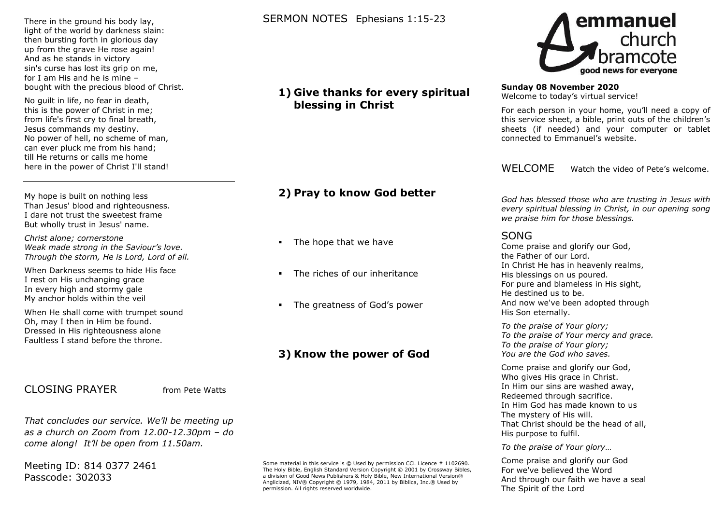#### There in the ground his body lay, light of the world by darkness slain: then bursting forth in glorious day up from the grave He rose again! And as he stands in victory sin's curse has lost its grip on me, for I am His and he is mine – bought with the precious blood of Christ.

No guilt in life, no fear in death, this is the power of Christ in me; from life's first cry to final breath, Jesus commands my destiny. No power of hell, no scheme of man, can ever pluck me from his hand; till He returns or calls me home here in the power of Christ I'll stand!

My hope is built on nothing less Than Jesus' blood and righteousness. I dare not trust the sweetest frame But wholly trust in Jesus' name.

*Christ alone; cornerstone Weak made strong in the Saviour's love. Through the storm, He is Lord, Lord of all.*

When Darkness seems to hide His face I rest on His unchanging grace In every high and stormy gale My anchor holds within the veil

When He shall come with trumpet sound Oh, may I then in Him be found. Dressed in His righteousness alone Faultless I stand before the throne.

## CLOSING PRAYER from Pete Watts

*That concludes our service. We'll be meeting up as a church on Zoom from 12.00-12.30pm – do come along! It'll be open from 11.50am.*

Meeting ID: 814 0377 2461 Passcode: 302033

## SERMON NOTES Ephesians 1:15-23

## **1) Give thanks for every spiritual blessing in Christ**

# **2) Pray to know God better**

- The hope that we have
- The riches of our inheritance
- The greatness of God's power

# **3) Know the power of God**

Some material in this service is © Used by permission CCL Licence # 1102690. The Holy Bible, English Standard Version Copyright © 2001 by Crossway Bibles, a division of Good News Publishers & Holy Bible, New International Version® Anglicized, NIV® Copyright © 1979, 1984, 2011 by Biblica, Inc.® Used by permission. All rights reserved worldwide.



## **Sunday 08 November 2020**

Welcome to today's virtual service!

For each person in your home, you'll need a copy of this service sheet, a bible, print outs of the children's sheets (if needed) and your computer or tablet connected to Emmanuel's website.

WELCOME Watch the video of Pete's welcome.

*God has blessed those who are trusting in Jesus with every spiritual blessing in Christ, in our opening song we praise him for those blessings.*

## SONG

Come praise and glorify our God, the Father of our Lord. In Christ He has in heavenly realms, His blessings on us poured. For pure and blameless in His sight, He destined us to be. And now we've been adopted through His Son eternally.

*To the praise of Your glory; To the praise of Your mercy and grace. To the praise of Your glory; You are the God who saves.*

Come praise and glorify our God, Who gives His grace in Christ. In Him our sins are washed away, Redeemed through sacrifice. In Him God has made known to us The mystery of His will. That Christ should be the head of all, His purpose to fulfil.

*To the praise of Your glory*…

Come praise and glorify our God For we've believed the Word And through our faith we have a seal The Spirit of the Lord